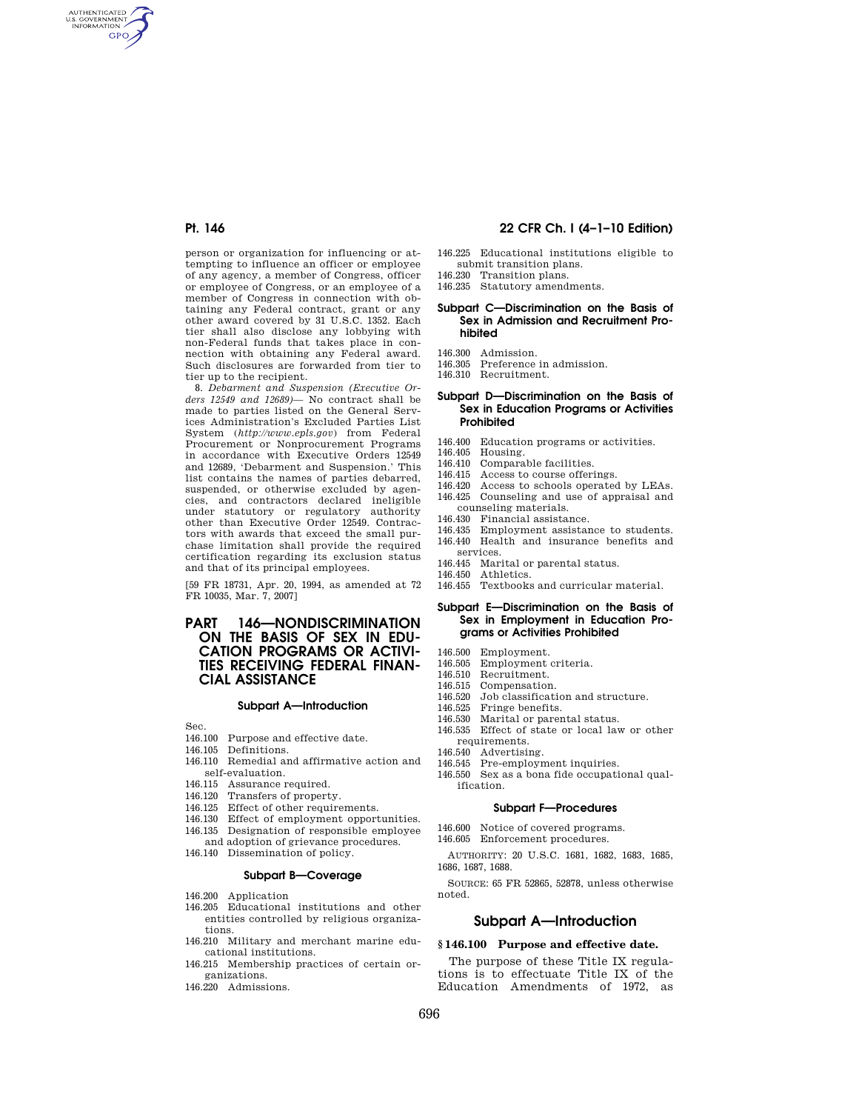AUTHENTICATED<br>U.S. GOVERNMENT<br>INFORMATION **GPO** 

> person or organization for influencing or attempting to influence an officer or employee of any agency, a member of Congress, officer or employee of Congress, or an employee of a member of Congress in connection with obtaining any Federal contract, grant or any other award covered by 31 U.S.C. 1352. Each tier shall also disclose any lobbying with non-Federal funds that takes place in connection with obtaining any Federal award. Such disclosures are forwarded from tier to tier up to the recipient.

8. *Debarment and Suspension (Executive Orders 12549 and 12689)—* No contract shall be made to parties listed on the General Services Administration's Excluded Parties List System (*http://www.epls.gov*) from Federal Procurement or Nonprocurement Programs in accordance with Executive Orders 12549 and 12689, 'Debarment and Suspension.' This list contains the names of parties debarred, suspended, or otherwise excluded by agencies, and contractors declared ineligible under statutory or regulatory authority other than Executive Order 12549. Contractors with awards that exceed the small purchase limitation shall provide the required certification regarding its exclusion status and that of its principal employees.

[59 FR 18731, Apr. 20, 1994, as amended at 72 FR 10035, Mar. 7, 2007]

## **PART 146—NONDISCRIMINATION ON THE BASIS OF SEX IN EDU-CATION PROGRAMS OR ACTIVI-TIES RECEIVING FEDERAL FINAN-CIAL ASSISTANCE**

#### **Subpart A—Introduction**

Sec.

- 146.100 Purpose and effective date.
- 146.105 Definitions.
- 146.110 Remedial and affirmative action and self-evaluation.
- 146.115 Assurance required.
- 146.120 Transfers of property.
- 146.125 Effect of other requirements.
- 146.130 Effect of employment opportunities.
- 146.135 Designation of responsible employee
- and adoption of grievance procedures.
- 146.140 Dissemination of policy.

## **Subpart B—Coverage**

- 146.200 Application
- 146.205 Educational institutions and other entities controlled by religious organizations.
- 146.210 Military and merchant marine educational institutions.
- 146.215 Membership practices of certain organizations.
- 146.220 Admissions.

# **Pt. 146 22 CFR Ch. I (4–1–10 Edition)**

- 146.225 Educational institutions eligible to submit transition plans. 146.230 Transition plans.
- 146.235 Statutory amendments.
- **Subpart C—Discrimination on the Basis of Sex in Admission and Recruitment Pro-**
- 

**hibited** 

- 146.300 Admission.<br>146.305 Preference Preference in admission.
- 146.310 Recruitment.

### **Subpart D—Discrimination on the Basis of Sex in Education Programs or Activities Prohibited**

- 146.400 Education programs or activities.<br>146.405 Housing.
- 146.405 Housing.
- 146.410 Comparable facilities.<br>146.415 Access to course offer
- 146.415 Access to course offerings.<br>146.420 Access to schools operated
- 146.420 Access to schools operated by LEAs.<br>146.425 Counseling and use of appraisal and Counseling and use of appraisal and
- counseling materials.<br>146.430 Financial assistar
- 146.430 Financial assistance.<br>146.435 Employment assistan
- 146.435 Employment assistance to students.<br>146.440 Health and insurance benefits and
- Health and insurance benefits and services.
- 146.445 Marital or parental status.<br>146.450 Athletics.
- Athletics.
- 146.455 Textbooks and curricular material.

### **Subpart E—Discrimination on the Basis of Sex in Employment in Education Programs or Activities Prohibited**

- 146.500 Employment.<br>146.505 Employment
- Employment criteria.
- 146.510 Recruitment.<br>146.515 Compensation
- Compensation.
- 146.520 Job classification and structure.<br>146.525 Fringe benefits
- 146.525 Fringe benefits.<br>146.530 Marital or paren
- 146.530 Marital or parental status.<br>146.535 Effect of state or local lay Effect of state or local law or other requirements.
- 
- 146.540 Advertising.<br>146.545 Pre-employi Pre-employment inquiries.
- 146.550 Sex as a bona fide occupational qualification.

#### **Subpart F—Procedures**

- 146.600 Notice of covered programs.
- 146.605 Enforcement procedures.
- AUTHORITY: 20 U.S.C. 1681, 1682, 1683, 1685, 1686, 1687, 1688.

SOURCE: 65 FR 52865, 52878, unless otherwise noted.

## **Subpart A—Introduction**

## **§ 146.100 Purpose and effective date.**

The purpose of these Title IX regulations is to effectuate Title IX of the Education Amendments of 1972, as